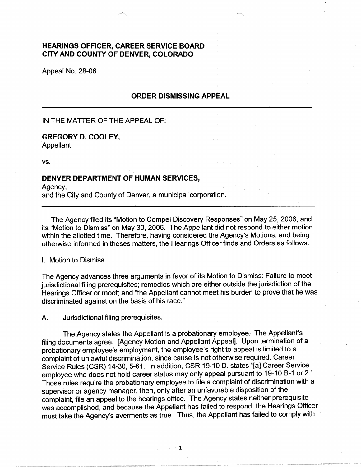## **HEARINGS OFFICER, CAREER SERVICE BOARD CITY AND COUNTY OF DENVER, COLORADO**

Appeal No. 28-06

## **ORDER DISMISSING APPEAL**

IN THE MATTER OF THE APPEAL OF:

## **GREGORY D. COOLEY,**

Appellant,

vs.

## **DENVER DEPARTMENT OF HUMAN SERVICES,**

Agency, and the City and County of Denver, a municipal corporation.

The Agency filed its "Motion to Compel Discovery Responses" on May 25, 2006, and its "Motion to Dismiss" on May 30, 2006. The Appellant did not respond to either motion within the allotted time. Therefore, having considered the Agency's Motions, and being otherwise informed in theses matters, the Hearings Officer finds and Orders as follows.

I. Motion to Dismiss.

The Agency advances three arguments in favor of its Motion to Dismiss: Failure to meet jurisdictional filing prerequisites; remedies which are either outside the jurisdiction of the Hearings Officer or moot; and "the Appellant cannot meet his burden to prove that he was discriminated against on the basis of his race."

A. Jurisdictional filing prerequisites.

The Agency states the Appellant is a probationary employee. The Appellant's filing documents agree. [Agency Motion and Appellant Appeal]. Upon termination of a probationary employee's employment, the employee's right to appeal is limited to a complaint of unlawful discrimination, since cause is not otherwise required. Career Service Rules (CSR) 14-30, 5-61. In addition, CSR 19-10 D. states "[a] Career Service employee who does not hold career status may only appeal pursuant to 19-10 B-1 or 2." Those rules require the probationary employee to file a complaint of discrimination with a supervisor or agency manager, then, only after an unfavorable disposition of the complaint, file an appeal to the hearings office. The Agency states neither prerequisite was accomplished, and because the Appellant has failed to respond, the Hearings Officer must take the Agency's averments as true. Thus, the Appellant has failed to comply with

1